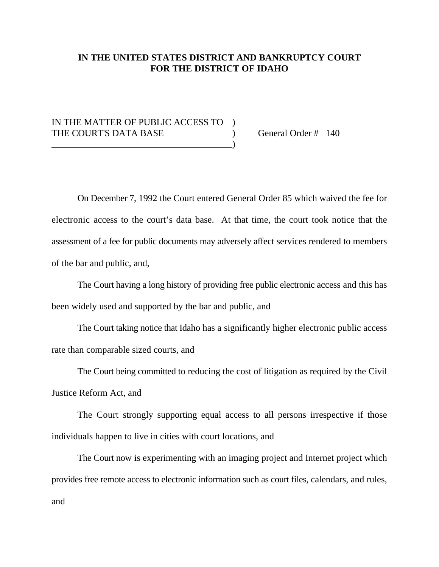## **IN THE UNITED STATES DISTRICT AND BANKRUPTCY COURT FOR THE DISTRICT OF IDAHO**

## IN THE MATTER OF PUBLIC ACCESS TO ) THE COURT'S DATA BASE (a) General Order # 140 ) and the contract of the contract of  $\mathcal{O}(n)$

On December 7, 1992 the Court entered General Order 85 which waived the fee for electronic access to the court's data base. At that time, the court took notice that the assessment of a fee for public documents may adversely affect services rendered to members of the bar and public, and,

The Court having a long history of providing free public electronic access and this has been widely used and supported by the bar and public, and

The Court taking notice that Idaho has a significantly higher electronic public access rate than comparable sized courts, and

The Court being committed to reducing the cost of litigation as required by the Civil

Justice Reform Act, and

The Court strongly supporting equal access to all persons irrespective if those individuals happen to live in cities with court locations, and

The Court now is experimenting with an imaging project and Internet project which provides free remote access to electronic information such as court files, calendars, and rules, and